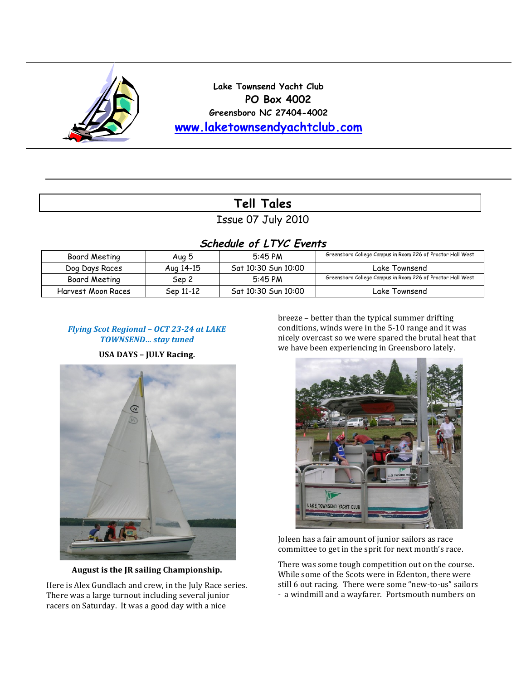

**Lake Townsend Yacht Club PO Box 4002 Greensboro NC 27404-4002 www.laketownsendyachtclub.com**

# **Tell Tales**

Issue 07 July 2010

## **Schedule of LTYC Events**

| Board Meeting      | Aug 5     | $5:45$ PM           | Greensboro College Campus in Room 226 of Proctor Hall West |
|--------------------|-----------|---------------------|------------------------------------------------------------|
| Dog Days Races     | Aug 14-15 | Sat 10:30 Sun 10:00 | Lake Townsend                                              |
| Board Meeting      | Sep 2     | $5:45$ PM           | Greensboro College Campus in Room 226 of Proctor Hall West |
| Harvest Moon Races | Sep 11-12 | Sat 10:30 Sun 10:00 | Lake Townsend                                              |

## Flying Scot Regional - OCT 23-24 at LAKE *TOWNSEND…'stay'tuned*

**USA DAYS - JULY Racing.** 



August is the JR sailing Championship.

Here is Alex Gundlach and crew, in the July Race series. There was a large turnout including several junior racers on Saturday. It was a good day with a nice

breeze - better than the typical summer drifting conditions, winds were in the 5-10 range and it was nicely overcast so we were spared the brutal heat that we have been experiencing in Greensboro lately.



Joleen has a fair amount of junior sailors as race committee to get in the sprit for next month's race.

There was some tough competition out on the course. While some of the Scots were in Edenton, there were still 6 out racing. There were some "new-to-us" sailors - a windmill and a wayfarer. Portsmouth numbers on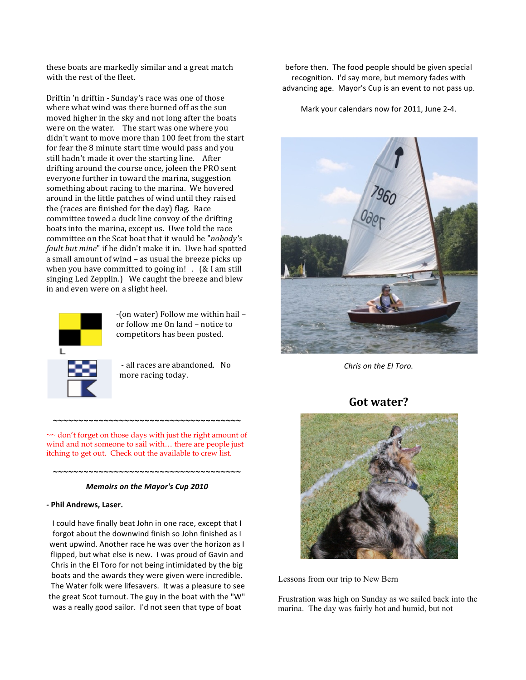these boats are markedly similar and a great match with the rest of the fleet.

Driftin 'n driftin - Sunday's race was one of those where what wind was there burned off as the sun moved higher in the sky and not long after the boats were on the water. The start was one where you didn't want to move more than 100 feet from the start for fear the 8 minute start time would pass and you still hadn't made it over the starting line. After drifting around the course once, joleen the PRO sent everyone further in toward the marina, suggestion something about racing to the marina. We hovered around in the little patches of wind until they raised the (races are finished for the day) flag. Race committee towed a duck line convoy of the drifting boats into the marina, except us. Uwe told the race committee on the Scat boat that it would be "*nobody's* fault but mine" if he didn't make it in. Uwe had spotted a small amount of wind – as usual the breeze picks up when you have committed to going in!  $.$  (& I am still singing Led Zepplin.) We caught the breeze and blew in and even were on a slight heel.



F(on!water) Follow!me!within!hail!– or follow me On land – notice to competitors has been posted.

- all races are abandoned. No more racing today.

 $\sim$  don't forget on those days with just the right amount of wind and not someone to sail with… there are people just itching to get out. Check out the available to crew list.

**~~~~~~~~~~~~~~~~~~~~~~~~~~~~~~~~~~~~~**

### **~~~~~~~~~~~~~~~~~~~~~~~~~~~~~~~~~~~~~** *Memoirs on the Mayor's Cup 2010*

#### **!"Phil"Andrews,"Laser.**

I could have finally beat John in one race, except that I forgot about the downwind finish so John finished as I went upwind. Another race he was over the horizon as I flipped, but what else is new. I was proud of Gavin and Chris in the El Toro for not being intimidated by the big boats and the awards they were given were incredible. The Water folk were lifesavers. It was a pleasure to see the great Scot turnout. The guy in the boat with the "W" was a really good sailor. I'd not seen that type of boat

before then. The food people should be given special recognition. I'd say more, but memory fades with advancing age. Mayor's Cup is an event to not pass up.

Mark your calendars now for 2011, June 2-4.



*Chris on the El Toro.* 

### Got water?



Lessons from our trip to New Bern

Frustration was high on Sunday as we sailed back into the marina. The day was fairly hot and humid, but not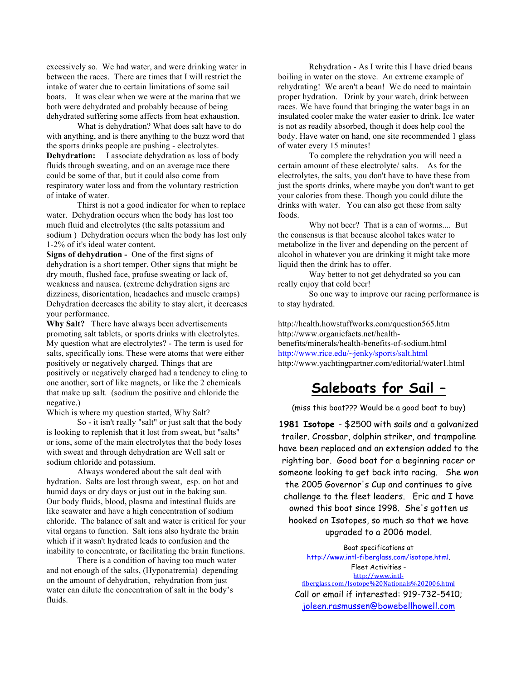excessively so. We had water, and were drinking water in between the races. There are times that I will restrict the intake of water due to certain limitations of some sail boats. It was clear when we were at the marina that we both were dehydrated and probably because of being dehydrated suffering some affects from heat exhaustion.

What is dehydration? What does salt have to do with anything, and is there anything to the buzz word that the sports drinks people are pushing - electrolytes. **Dehydration:** I associate dehydration as loss of body fluids through sweating, and on an average race there could be some of that, but it could also come from respiratory water loss and from the voluntary restriction of intake of water.

Thirst is not a good indicator for when to replace water. Dehydration occurs when the body has lost too much fluid and electrolytes (the salts potassium and sodium ) Dehydration occurs when the body has lost only 1-2% of it's ideal water content.

**Signs of dehydration -** One of the first signs of dehydration is a short temper. Other signs that might be dry mouth, flushed face, profuse sweating or lack of, weakness and nausea. (extreme dehydration signs are dizziness, disorientation, headaches and muscle cramps) Dehydration decreases the ability to stay alert, it decreases your performance.

**Why Salt?** There have always been advertisements promoting salt tablets, or sports drinks with electrolytes. My question what are electrolytes? - The term is used for salts, specifically ions. These were atoms that were either positively or negatively charged. Things that are positively or negatively charged had a tendency to cling to one another, sort of like magnets, or like the 2 chemicals that make up salt. (sodium the positive and chloride the negative.)

Which is where my question started, Why Salt?

So - it isn't really "salt" or just salt that the body is looking to replenish that it lost from sweat, but "salts" or ions, some of the main electrolytes that the body loses with sweat and through dehydration are Well salt or sodium chloride and potassium.

Always wondered about the salt deal with hydration. Salts are lost through sweat, esp. on hot and humid days or dry days or just out in the baking sun. Our body fluids, blood, plasma and intestinal fluids are like seawater and have a high concentration of sodium chloride. The balance of salt and water is critical for your vital organs to function. Salt ions also hydrate the brain which if it wasn't hydrated leads to confusion and the inability to concentrate, or facilitating the brain functions.

There is a condition of having too much water and not enough of the salts, (Hyponatremia) depending on the amount of dehydration, rehydration from just water can dilute the concentration of salt in the body's fluids.

Rehydration - As I write this I have dried beans boiling in water on the stove. An extreme example of rehydrating! We aren't a bean! We do need to maintain proper hydration. Drink by your watch, drink between races. We have found that bringing the water bags in an insulated cooler make the water easier to drink. Ice water is not as readily absorbed, though it does help cool the body. Have water on hand, one site recommended 1 glass of water every 15 minutes!

To complete the rehydration you will need a certain amount of these electrolyte/ salts. As for the electrolytes, the salts, you don't have to have these from just the sports drinks, where maybe you don't want to get your calories from these. Though you could dilute the drinks with water. You can also get these from salty foods.

Why not beer? That is a can of worms.... But the consensus is that because alcohol takes water to metabolize in the liver and depending on the percent of alcohol in whatever you are drinking it might take more liquid then the drink has to offer.

Way better to not get dehydrated so you can really enjoy that cold beer!

So one way to improve our racing performance is to stay hydrated.

http://health.howstuffworks.com/question565.htm http://www.organicfacts.net/healthbenefits/minerals/health-benefits-of-sodium.html http://www.rice.edu/~jenky/sports/salt.html http://www.yachtingpartner.com/editorial/water1.html

# **Saleboats for Sail –**

(miss this boat??? Would be a good boat to buy)

**1981 Isotope** - \$2500 with sails and a galvanized trailer. Crossbar, dolphin striker, and trampoline have been replaced and an extension added to the righting bar. Good boat for a beginning racer or someone looking to get back into racing. She won the 2005 Governor's Cup and continues to give challenge to the fleet leaders. Eric and I have owned this boat since 1998. She's gotten us hooked on Isotopes, so much so that we have upgraded to a 2006 model.

Boat specifications at http://www.intl-fiberglass.com/isotope.html. Fleet Activities http://www.intlfiberglass.com/Isotope%20Nationals%202006.html Call or email if interested: 919-732-5410; joleen.rasmussen@bowebellhowell.com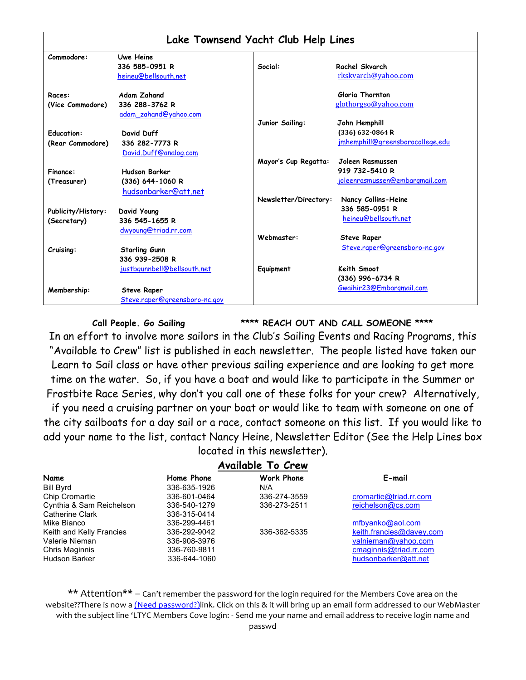|                    |                               | Lake Townsend Yacht Club Help Lines |                                  |
|--------------------|-------------------------------|-------------------------------------|----------------------------------|
| Commodore:         | Uwe Heine                     |                                     |                                  |
|                    | 336 585-0951 R                | Social:                             | Rachel Skvarch                   |
|                    | heineu@bellsouth.net          |                                     | rkskvarch@yahoo.com              |
| Races:             | <b>Adam Zahand</b>            |                                     | Gloria Thornton                  |
| (Vice Commodore)   | 336 288-3762 R                |                                     | glothorgso@yahoo.com             |
|                    | adam_zahand@yahoo.com         |                                     |                                  |
|                    |                               | Junior Sailing:                     | John Hemphill                    |
| <b>Education:</b>  | David Duff                    |                                     | (336) 632-0864 R                 |
| (Rear Commodore)   | 336 282-7773 R                |                                     | jmhemphill@greensborocollege.edu |
|                    | David.Duff@analog.com         |                                     |                                  |
|                    |                               | Mayor's Cup Regatta:                | Joleen Rasmussen                 |
| Finance:           | <b>Hudson Barker</b>          |                                     | 919 732-5410 R                   |
| (Treasurer)        | (336) 644-1060 R              |                                     | joleenrasmussen@embargmail.com   |
|                    | hudsonbarker@att.net          |                                     |                                  |
|                    |                               | Newsletter/Directory:               | Nancy Collins-Heine              |
| Publicity/History: | David Young                   |                                     | 336 585-0951 R                   |
| (Secretary)        | 336 545-1655 R                |                                     | heineu@bellsouth.net             |
|                    | dwyoung@triad.rr.com          |                                     |                                  |
|                    |                               | Webmaster:                          | <b>Steve Raper</b>               |
| Cruising:          | <b>Starling Gunn</b>          |                                     | Steve.raper@greensboro-nc.gov    |
|                    | 336 939-2508 R                |                                     |                                  |
|                    | justbgunnbell@bellsouth.net   | Equipment                           | Keith Smoot                      |
|                    |                               |                                     | (336) 996-6734 R                 |
|                    |                               |                                     | Gwaihir23@Embargmail.com         |
| Membership:        | <b>Steve Raper</b>            |                                     |                                  |
|                    | Steve.raper@greensboro-nc.gov |                                     |                                  |

**Call People. Go Sailing \*\*\*\* REACH OUT AND CALL SOMEONE \*\*\*\***

In an effort to involve more sailors in the Club's Sailing Events and Racing Programs, this "Available to Crew" list is published in each newsletter. The people listed have taken our Learn to Sail class or have other previous sailing experience and are looking to get more time on the water. So, if you have a boat and would like to participate in the Summer or Frostbite Race Series, why don't you call one of these folks for your crew? Alternatively,

if you need a cruising partner on your boat or would like to team with someone on one of the city sailboats for a day sail or a race, contact someone on this list. If you would like to add your name to the list, contact Nancy Heine, Newsletter Editor (See the Help Lines box located in this newsletter).

### **Available To Crew**

| Name                     | Home Phone   | <b>Work Phone</b> | E-mail                   |
|--------------------------|--------------|-------------------|--------------------------|
| <b>Bill Byrd</b>         | 336-635-1926 | N/A               |                          |
| Chip Cromartie           | 336-601-0464 | 336-274-3559      | cromartie@triad.rr.com   |
| Cynthia & Sam Reichelson | 336-540-1279 | 336-273-2511      | reichelson@cs.com        |
| Catherine Clark          | 336-315-0414 |                   |                          |
| Mike Bianco              | 336-299-4461 |                   | mfbyanko@aol.com         |
| Keith and Kelly Francies | 336-292-9042 | 336-362-5335      | keith.francies@davey.com |
| Valerie Nieman           | 336-908-3976 |                   | valnieman@yahoo.com      |
| Chris Maginnis           | 336-760-9811 |                   | cmaginnis@triad.rr.com   |
| Hudson Barker            | 336-644-1060 |                   | hudsonbarker@att.net     |

\*\* Attention\*\* – Can't remember the password for the login required for the Members Cove area on the website??There is now a (Need password?)link. Click on this & it will bring up an email form addressed to our WebMaster with the subject line 'LTYC Members Cove login: - Send me your name and email address to receive login name and passwd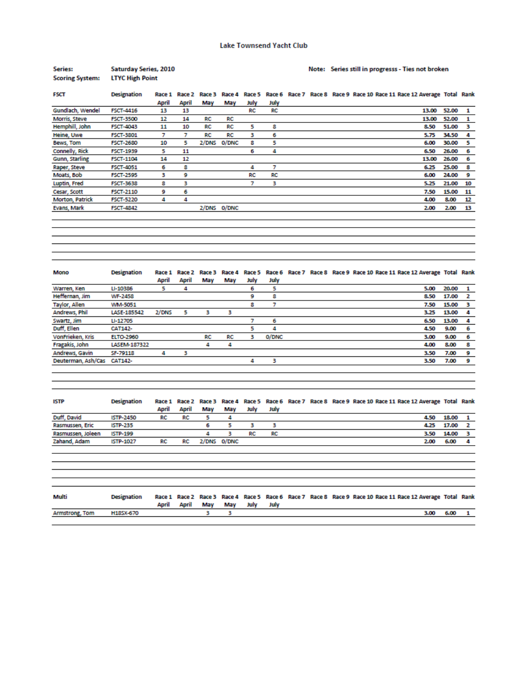#### Note: Series still in progresss - Ties not broken

| <b>FSCT</b>            | <b>Designation</b> |       |       |       |             |      |      |  |  |  | Race 1 Race 2 Race 3 Race 4 Race 5 Race 6 Race 7 Race 8 Race 9 Race 10 Race 11 Race 12 Average Total Rank |       |    |
|------------------------|--------------------|-------|-------|-------|-------------|------|------|--|--|--|-----------------------------------------------------------------------------------------------------------|-------|----|
|                        |                    | April | April | May   | May         | July | July |  |  |  |                                                                                                           |       |    |
| Gundlach, Wendel       | <b>FSCT-4416</b>   | 13    | 13    |       |             | RC   | RC   |  |  |  | 13.00                                                                                                     | 52.00 | 1  |
| Morris, Steve          | <b>FSCT-3500</b>   | 12    | 14    | RC    | RC          |      |      |  |  |  | 13.00                                                                                                     | 52.00 |    |
| Hemphill, John         | <b>FSCT-4043</b>   | 11    | 10    | RC    | RC          | 5    | 8    |  |  |  | 8.50                                                                                                      | 51.00 | з  |
| Heine, Uwe             | <b>FSCT-3801</b>   |       |       | RC    | RC          | з    | 6    |  |  |  | 5.75                                                                                                      | 34.50 | 4  |
| Bews, Tom              | <b>FSCT-2680</b>   | 10    | 5.    | 2/DNS | 0/DNC       | 8    | 5    |  |  |  | 6.00                                                                                                      | 30.00 | 5  |
| Connelly, Rick         | <b>FSCT-1939</b>   | 5.    | 11    |       |             | 6    | 4    |  |  |  | 6.50                                                                                                      | 26.00 | 6  |
| Gunn, Starling         | <b>FSCT-1104</b>   | 14    | 12    |       |             |      |      |  |  |  | 13.00                                                                                                     | 26.00 | -6 |
| Raper, Steve           | <b>FSCT-4051</b>   | 6     | 8     |       |             | 4    | 7    |  |  |  | 6.25                                                                                                      | 25.00 | 8  |
| Moats, Bob             | <b>FSCT-2595</b>   | з     | 9     |       |             | RC   | RC   |  |  |  | 6.00                                                                                                      | 24.00 | 9  |
| Luptin, Fred           | <b>FSCT-3638</b>   | 8     | з     |       |             |      | в    |  |  |  | 5.25                                                                                                      | 21.00 | 10 |
| Cesar, Scott           | <b>FSCT-2110</b>   | 9     | 6     |       |             |      |      |  |  |  | 7.50                                                                                                      | 15.00 | 11 |
| <b>Morton, Patrick</b> | <b>FSCT-5220</b>   | 4     | 4     |       |             |      |      |  |  |  | 4.00                                                                                                      | 8.00  | 12 |
| Evans, Mark            | <b>FSCT-4842</b>   |       |       |       | 2/DNS 0/DNC |      |      |  |  |  | 2.00                                                                                                      | 2.00  | 13 |

| <u> Alexandro de la contrada de la contrada de la contrada de la contrada de la contrada de la contrada de la con</u> |  |  |
|-----------------------------------------------------------------------------------------------------------------------|--|--|
|                                                                                                                       |  |  |
| <u>,一个人的人都是一个人的人,就是一个人的人,就是一个人的人,就是一个人的人,</u> 就是一个人的人,就是一个人的人,就是一个人的人,就是一个人的人,就是一个人的人,我                               |  |  |
| <u>,一个人的人都是一个人的人,就是一个人的人,就是一个人的人,就是一个人的人,</u> 就是一个人的人,就是一个人的人,就是一个人的人,就是一个人的人,就是一个人的人,我                               |  |  |
|                                                                                                                       |  |  |
| <u> Alexandro de la contrada de la contrada de la contrada de la contrada de la contrada de la contrada de la con</u> |  |  |
|                                                                                                                       |  |  |
|                                                                                                                       |  |  |

| Mono                       | Designation      |       |       |     |     |      |       |  |  |  | Race 1 Race 2 Race 3 Race 4 Race 5 Race 6 Race 7 Race 8 Race 9 Race 10 Race 11 Race 12 Average Total Rank |       |              |
|----------------------------|------------------|-------|-------|-----|-----|------|-------|--|--|--|-----------------------------------------------------------------------------------------------------------|-------|--------------|
|                            |                  | April | April | May | May | July | July  |  |  |  |                                                                                                           |       |              |
| Warren, Ken                | LI-10386         |       |       |     |     | 6    | 5     |  |  |  | 5.00                                                                                                      | 20.00 | $\mathbf{1}$ |
| Heffernan, Jim             | <b>WF-2458</b>   |       |       |     |     | 9    | 8     |  |  |  | 8.50                                                                                                      | 17.00 |              |
| Taylor, Allen              | <b>WM-5051</b>   |       |       |     |     | 8    |       |  |  |  | 7.50                                                                                                      | 15.00 |              |
| Andrews, Phil              | LASE-185542      | 2/DNS | 5     |     |     |      |       |  |  |  | 3.25                                                                                                      | 13.00 | - 4          |
| Swartz, Jim                | LI-12705         |       |       |     |     |      | 6     |  |  |  | 6.50                                                                                                      | 13.00 | 4            |
| Duff, Ellen                | <b>CAT142-</b>   |       |       |     |     |      | Δ     |  |  |  | 4.50                                                                                                      | 9.00  | -6           |
| VonFrieken, Kris           | <b>ELTO-2960</b> |       |       | RC  | RC  | з    | 0/DNC |  |  |  | 3.00                                                                                                      | 9.00  | 6            |
| Fragakis, John             | LASEM-187322     |       |       | 4   | 4   |      |       |  |  |  | 4.00                                                                                                      | 8.00  | 8            |
| Andrews, Gavin             | SF-79118         | 4     |       |     |     |      |       |  |  |  | 3.50                                                                                                      | 7.00  | 9            |
| Deuterman, Ash/Cas CAT142- |                  |       |       |     |     | Δ    | з     |  |  |  | 3.50                                                                                                      | 7.00  | 9            |
|                            |                  |       |       |     |     |      |       |  |  |  |                                                                                                           |       |              |

| <b>ISTP</b>       | <b>Designation</b> | April | April | May | Mav         | July | July |  | Race 1 Race 2 Race 3 Race 4 Race 5 Race 6 Race 7 Race 8 Race 9 Race 10 Race 11 Race 12 Average Total Rank |      |       |  |
|-------------------|--------------------|-------|-------|-----|-------------|------|------|--|-----------------------------------------------------------------------------------------------------------|------|-------|--|
| Duff, David       | <b>ISTP-2450</b>   | RC    | RC    |     |             |      |      |  |                                                                                                           | 4.50 | 18.00 |  |
| Rasmussen, Eric   | <b>ISTP-235</b>    |       |       |     |             |      |      |  |                                                                                                           | 4.25 | 17.00 |  |
| Rasmussen, Joleen | <b>ISTP-199</b>    |       |       |     |             | RC   | RC   |  |                                                                                                           | 3.50 | 14.00 |  |
| Zahand, Adam      | <b>ISTP-1027</b>   | RC    | RC    |     | 2/DNS 0/DNC |      |      |  |                                                                                                           | 2.00 | 6.00  |  |
|                   |                    |       |       |     |             |      |      |  |                                                                                                           |      |       |  |

| 6.00<br>H18SX-670<br>3.00 | Multi          | Designation | April | April | Mav | Mav | July | July |  | Race 1 Race 2 Race 3 Race 4 Race 5 Race 6 Race 7 Race 8 Race 9 Race 10 Race 11 Race 12 Average Total Rank |  |  |
|---------------------------|----------------|-------------|-------|-------|-----|-----|------|------|--|-----------------------------------------------------------------------------------------------------------|--|--|
|                           | Armstrong, Tom |             |       |       |     |     |      |      |  |                                                                                                           |  |  |